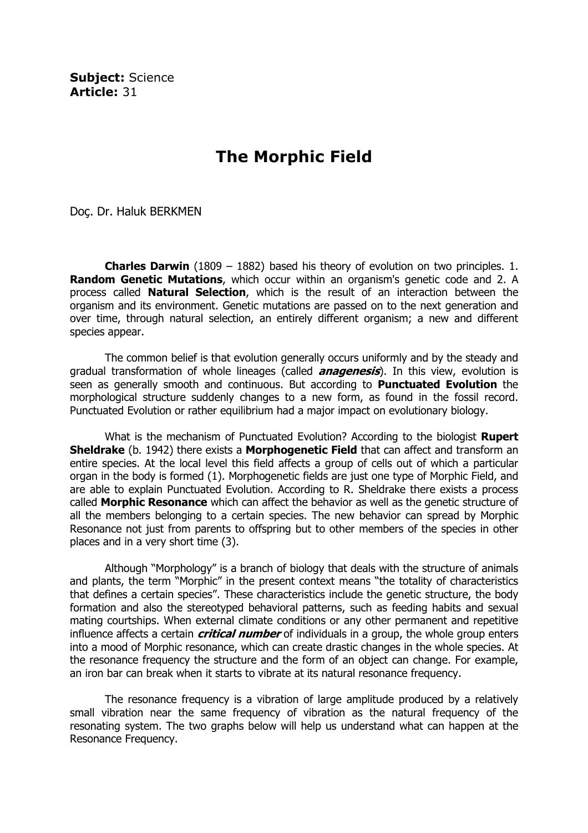Subiect: Science Article: 31

## The Morphic Field

Doç. Dr. Haluk BERKMEN

**Charles Darwin** (1809 – 1882) based his theory of evolution on two principles. 1. **Random Genetic Mutations**, which occur within an organism's genetic code and 2. A process called **Natural Selection**, which is the result of an interaction between the organism and its environment. Genetic mutations are passed on to the next generation and over time, through natural selection, an entirely different organism; a new and different species appear.

 The common belief is that evolution generally occurs uniformly and by the steady and gradual transformation of whole lineages (called **anagenesis**). In this view, evolution is seen as generally smooth and continuous. But according to **Punctuated Evolution** the morphological structure suddenly changes to a new form, as found in the fossil record. Punctuated Evolution or rather equilibrium had a major impact on evolutionary biology.

What is the mechanism of Punctuated Evolution? According to the biologist Rupert **Sheldrake** (b. 1942) there exists a **Morphogenetic Field** that can affect and transform an entire species. At the local level this field affects a group of cells out of which a particular organ in the body is formed (1). Morphogenetic fields are just one type of Morphic Field, and are able to explain Punctuated Evolution. According to R. Sheldrake there exists a process called Morphic Resonance which can affect the behavior as well as the genetic structure of all the members belonging to a certain species. The new behavior can spread by Morphic Resonance not just from parents to offspring but to other members of the species in other places and in a very short time (3).

 Although "Morphology" is a branch of biology that deals with the structure of animals and plants, the term "Morphic" in the present context means "the totality of characteristics that defines a certain species". These characteristics include the genetic structure, the body formation and also the stereotyped behavioral patterns, such as feeding habits and sexual mating courtships. When external climate conditions or any other permanent and repetitive influence affects a certain *critical number* of individuals in a group, the whole group enters into a mood of Morphic resonance, which can create drastic changes in the whole species. At the resonance frequency the structure and the form of an object can change. For example, an iron bar can break when it starts to vibrate at its natural resonance frequency.

 The resonance frequency is a vibration of large amplitude produced by a relatively small vibration near the same frequency of vibration as the natural frequency of the resonating system. The two graphs below will help us understand what can happen at the Resonance Frequency.